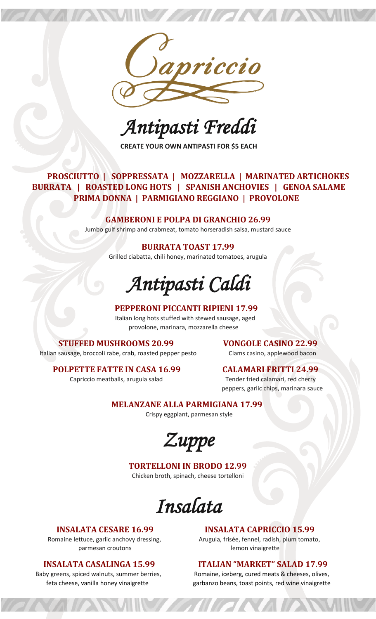

**ENVERSE**N

*Antipasti Freddi* 

**CREATE YOUR OWN ANTIPASTI FOR \$5 EACH**

### **PROSCIUTTO | SOPPRESSATA | MOZZARELLA | MARINATED ARTICHOKES BURRATA | ROASTED LONG HOTS | SPANISH ANCHOVIES | GENOA SALAME PRIMA DONNA | PARMIGIANO REGGIANO | PROVOLONE**

### **GAMBERONI E POLPA DI GRANCHIO 26.99**

Jumbo gulf shrimp and crabmeat, tomato horseradish salsa, mustard sauce

### **BURRATA TOAST 17.99**

Grilled ciabatta, chili honey, marinated tomatoes, arugula

*Antipasti Caldi* 

### **PEPPERONI PICCANTI RIPIENI 17.99**

 Italian long hots stuffed with stewed sausage, aged provolone, marinara, mozzarella cheese

### **STUFFED MUSHROOMS 20.99 VONGOLE CASINO 22.99**

Italian sausage, broccoli rabe, crab, roasted pepper pesto Clams casino, applewood bacon

### **POLPETTE FATTE IN CASA 16.99 CALAMARI FRITTI 24.99**

Capriccio meatballs, arugula salad Tender fried calamari, red cherry peppers, garlic chips, marinara sauce

### **MELANZANE ALLA PARMIGIANA 17.99**

Crispy eggplant, parmesan style

*Zuppe* 

### **TORTELLONI IN BRODO 12.99**

Chicken broth, spinach, cheese tortelloni

*Insalata* 

### **INSALATA CESARE 16.99 INSALATA CAPRICCIO 15.99**

Romaine lettuce, garlic anchovy dressing, Arugula, frisée, fennel, radish, plum tomato, parmesan croutons and a lemon vinaigrette

### **INSALATA CASALINGA 15.99 ITALIAN "MARKET" SALAD 17.99**

Baby greens, spiced walnuts, summer berries, Romaine, iceberg, cured meats & cheeses, olives, feta cheese, vanilla honey vinaigrette garbanzo beans, toast points, red wine vinaigrette